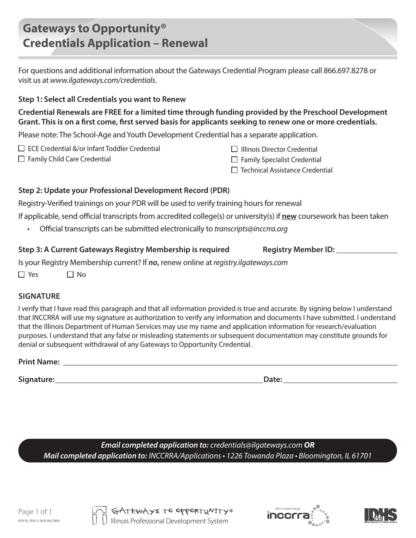# **Gateways to Opportunity® Credentials Application – Renewal**

For questions and additional information about the Gateways Credential Program please call 866.697.8278 or visit us at *www.ilgateways.com/credentials*.

## **Step 1: Select all Credentials you want to Renew**

**Credential Renewals are FREE for a limited time through funding provided by the Preschool Development Grant. This is on a first come, first served basis for applicants seeking to renew one or more credentials.** 

Please note: The School-Age and Youth Development Credential has a separate application.

- ECE Credential &/or Infant Toddler Credential
- $\Box$  Family Child Care Credential
- $\Box$  Illinois Director Credential
- $\Box$  Family Specialist Credential
- $\square$  Technical Assistance Credential

# **Step 2: Update your Professional Development Record (PDR)**

Registry-Verified trainings on your PDR will be used to verify training hours for renewal

If applicable, send official transcripts from accredited college(s) or university(s) if **new** coursework has been taken

• Official transcripts can be submitted electronically to *transcripts@inccrra.org* 

### Step 3: A Current Gateways Registry Membership is required Registry Member ID:

Is your Registry Membership current? If *no***,** renew online at *registry.ilgateways.com* 

 $\Box$  Yes  $\Box$  No.

# **SIGNATURE**

I verify that I have read this paragraph and that all information provided is true and accurate. By signing below I understand that INCCRRA will use my signature as authorization to verify any information and documents I have submitted. I understand that the Illinois Department of Human Services may use my name and application information for research/evaluation purposes. I understand that any false or misleading statements or subsequent documentation may constitute grounds for denial or subsequent withdrawal of any Gateways to Opportunity Credential.

**Print Name:** <u>**with a set of the set of the set of the set of the set of the set of the set of the set of the set of the set of the set of the set of the set of the set of the set of the set of the set of the set of the s</u>** 

**Signature:\_\_\_\_\_\_\_\_\_\_\_\_\_\_\_\_\_\_\_\_\_\_\_\_\_\_\_\_\_\_\_\_\_\_\_\_\_\_\_\_\_\_\_\_\_\_\_\_\_\_\_Date: \_\_\_\_\_\_\_\_\_\_\_\_\_\_\_\_\_\_\_\_\_\_\_\_\_\_\_\_**

*Email completed application to: credentials@ilgateways.com OR Mail completed application to: INCCRRA/Applications • 1226 Towanda Plaza • Bloomington, IL 61701*





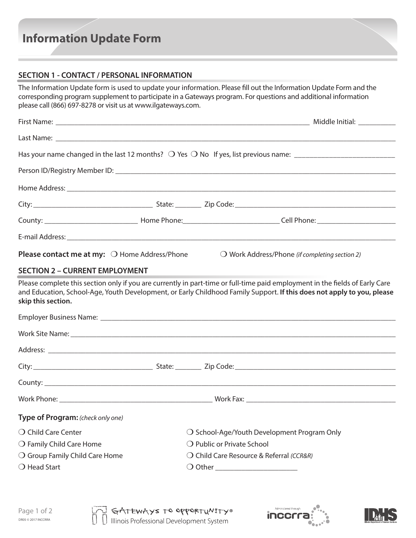# **Information Update Form**

### **SECTION 1 - CONTACT / PERSONAL INFORMATION**

The Information Update form is used to update your information. Please fill out the Information Update Form and the corresponding program supplement to participate in a Gateways program. For questions and additional information please call (866) 697-8278 or visit us at www.ilgateways.com.

| <b>Please contact me at my:</b> $\bigcirc$ Home Address/Phone | $\bigcirc$ Work Address/Phone (if completing section 2)                                                                                                                                                                                                |
|---------------------------------------------------------------|--------------------------------------------------------------------------------------------------------------------------------------------------------------------------------------------------------------------------------------------------------|
| <b>SECTION 2 - CURRENT EMPLOYMENT</b>                         |                                                                                                                                                                                                                                                        |
| skip this section.                                            | Please complete this section only if you are currently in part-time or full-time paid employment in the fields of Early Care<br>and Education, School-Age, Youth Development, or Early Childhood Family Support. If this does not apply to you, please |
|                                                               |                                                                                                                                                                                                                                                        |
|                                                               |                                                                                                                                                                                                                                                        |
|                                                               |                                                                                                                                                                                                                                                        |
|                                                               |                                                                                                                                                                                                                                                        |
|                                                               | County:                                                                                                                                                                                                                                                |
|                                                               |                                                                                                                                                                                                                                                        |
| Type of Program: (check only one)                             |                                                                                                                                                                                                                                                        |
| $\bigcirc$ Child Care Center                                  | $\bigcirc$ School-Age/Youth Development Program Only                                                                                                                                                                                                   |
| $\bigcirc$ Family Child Care Home                             | O Public or Private School                                                                                                                                                                                                                             |
| ○ Group Family Child Care Home                                | O Child Care Resource & Referral (CCR&R)                                                                                                                                                                                                               |
| $\bigcirc$ Head Start                                         | $\bigcirc$ Other and $\bigcirc$                                                                                                                                                                                                                        |